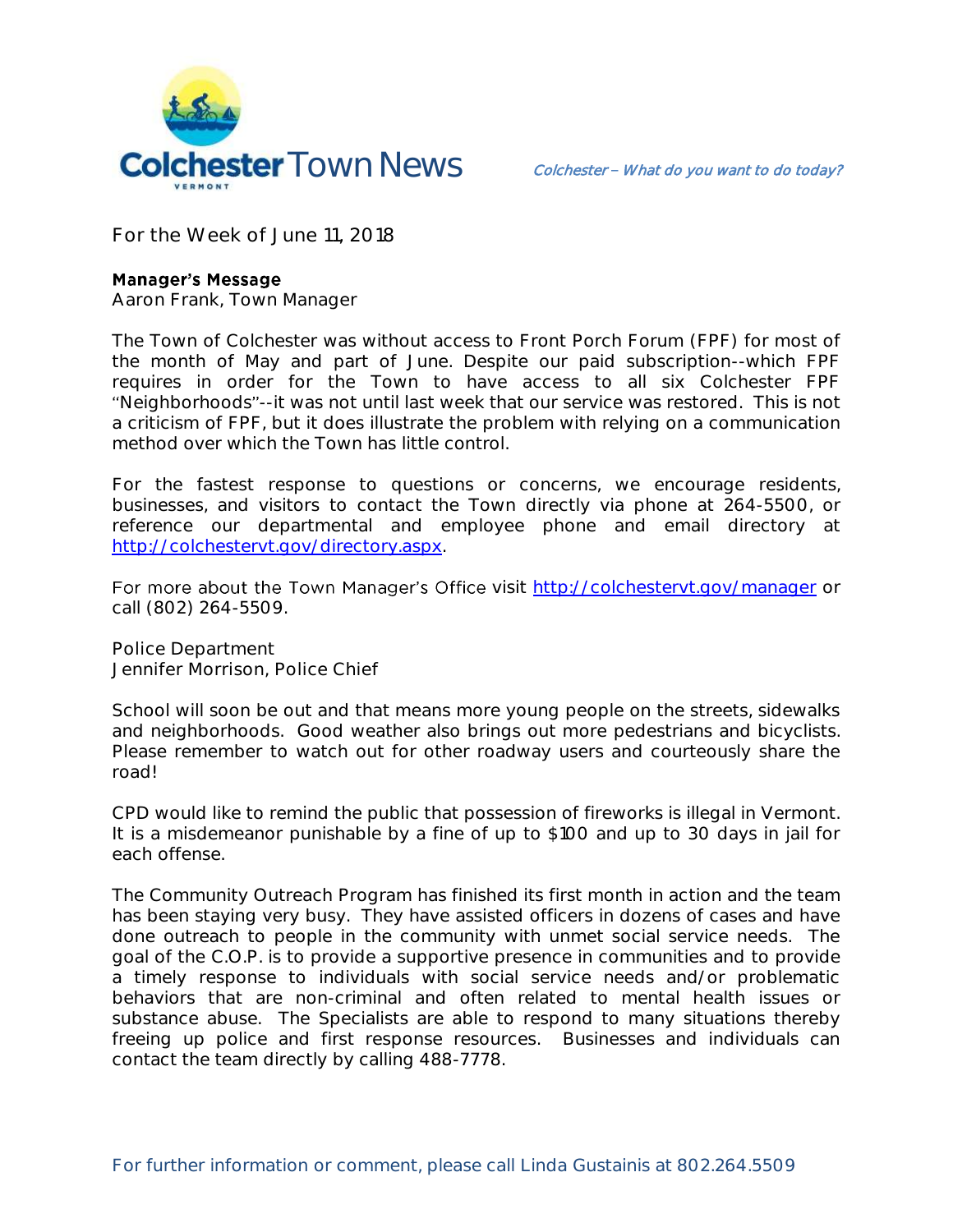

**For the Week of June 11, 2018**

## **Manager's Message**

**Aaron Frank, Town Manager**

The Town of Colchester was without access to Front Porch Forum (FPF) for most of the month of May and part of June. Despite our paid subscription--which FPF requires in order for the Town to have access to all six Colchester FPF "Neighborhoods"--it was not until last week that our service was restored. This is not a criticism of FPF, but it does illustrate the problem with relying on a communication method over which the Town has little control.

For the fastest response to questions or concerns, we encourage residents, businesses, and visitors to contact the Town directly via phone at 264-5500, or reference our departmental and employee phone and email directory at [http://colchestervt.gov/directory.aspx.](http://colchestervt.gov/directory.aspx)

For more about the Town Manager's Office visit<http://colchestervt.gov/manager> or call (802) 264-5509.

**Police Department Jennifer Morrison, Police Chief** 

School will soon be out and that means more young people on the streets, sidewalks and neighborhoods. Good weather also brings out more pedestrians and bicyclists. Please remember to watch out for other roadway users and courteously share the road!

CPD would like to remind the public that possession of fireworks is illegal in Vermont. It is a misdemeanor punishable by a fine of up to \$100 and up to 30 days in jail for each offense.

The Community Outreach Program has finished its first month in action and the team has been staying very busy. They have assisted officers in dozens of cases and have done outreach to people in the community with unmet social service needs. The goal of the C.O.P. is to provide a supportive presence in communities and to provide a timely response to individuals with social service needs and/or problematic behaviors that are non-criminal and often related to mental health issues or substance abuse. The Specialists are able to respond to many situations thereby freeing up police and first response resources. Businesses and individuals can contact the team directly by calling 488-7778.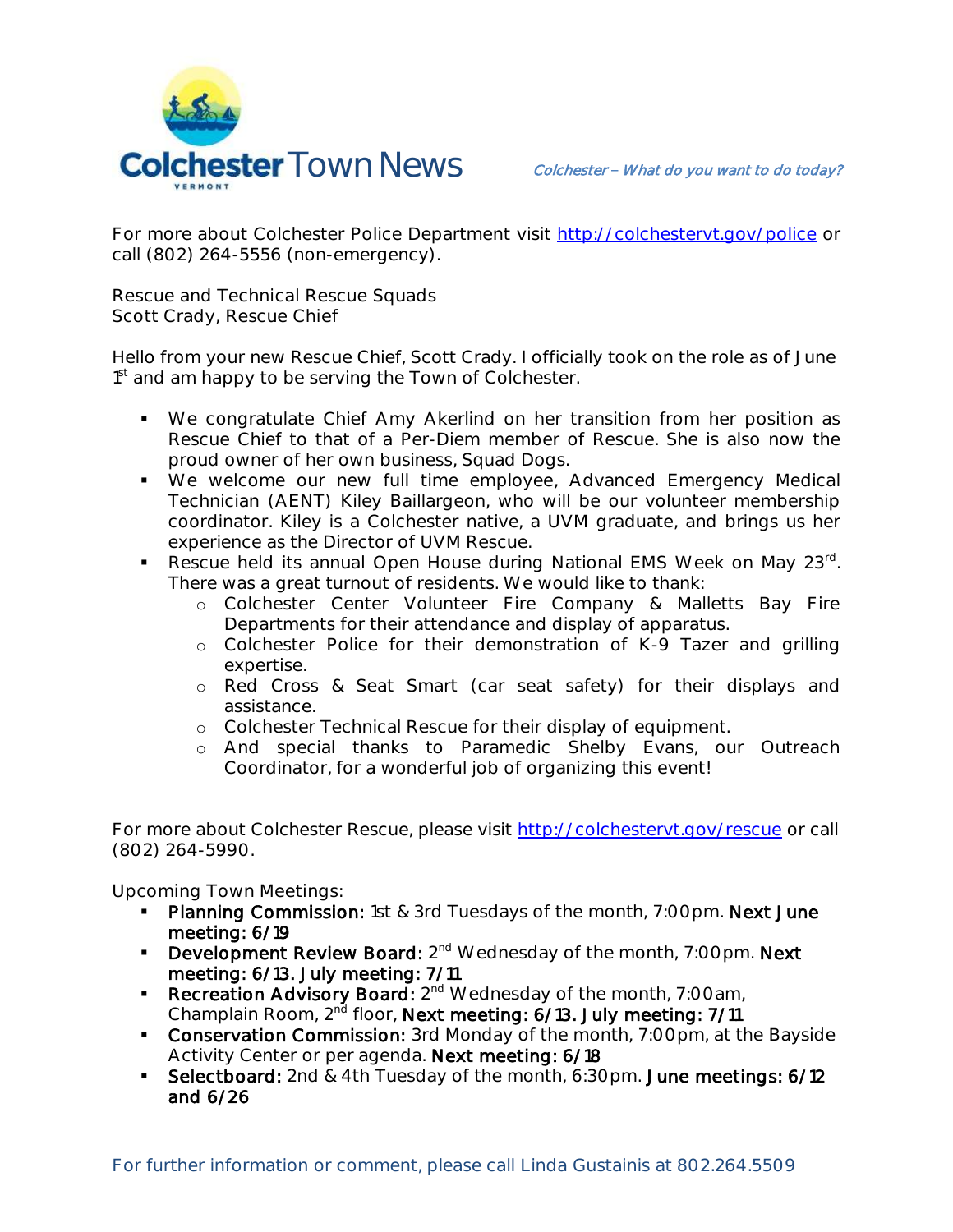

For more about Colchester Police Department visit<http://colchestervt.gov/police> or call (802) 264-5556 (non-emergency).

**Rescue and Technical Rescue Squads Scott Crady, Rescue Chief**

Hello from your new Rescue Chief, Scott Crady. I officially took on the role as of June 1<sup>st</sup> and am happy to be serving the Town of Colchester.

- We congratulate Chief Amy Akerlind on her transition from her position as Rescue Chief to that of a Per-Diem member of Rescue. She is also now the proud owner of her own business, Squad Dogs.
- We welcome our new full time employee, Advanced Emergency Medical Technician (AENT) Kiley Baillargeon, who will be our volunteer membership coordinator. Kiley is a Colchester native, a UVM graduate, and brings us her experience as the Director of UVM Rescue.
- Rescue held its annual Open House during National EMS Week on May 23<sup>rd</sup>. There was a great turnout of residents. We would like to thank:
	- o Colchester Center Volunteer Fire Company & Malletts Bay Fire Departments for their attendance and display of apparatus.
	- o Colchester Police for their demonstration of K-9 Tazer and grilling expertise.
	- o Red Cross & Seat Smart (car seat safety) for their displays and assistance.
	- o Colchester Technical Rescue for their display of equipment.
	- o And special thanks to Paramedic Shelby Evans, our Outreach Coordinator, for a wonderful job of organizing this event!

For more about Colchester Rescue, please visit [http://colchestervt.gov/rescue](http://colchestervt.gov/rescue/index.shtml) or call (802) 264-5990.

**Upcoming Town Meetings:** 

- Planning Commission: 1st & 3rd Tuesdays of the month, 7:00pm. Next June meeting: 6/19
- Development Review Board: 2<sup>nd</sup> Wednesday of the month, 7:00pm. Next meeting: 6/13. July meeting: 7/11
- Recreation Advisory Board: 2<sup>nd</sup> Wednesday of the month, 7:00am, Champlain Room, 2<sup>nd</sup> floor, Next meeting: 6/13. July meeting: 7/11
- **Conservation Commission:** 3rd Monday of the month, 7:00pm, at the Bayside Activity Center or per agenda. Next meeting: 6/18
- **Selectboard:** 2nd & 4th Tuesday of the month, 6:30pm. June meetings: 6/12 and 6/26